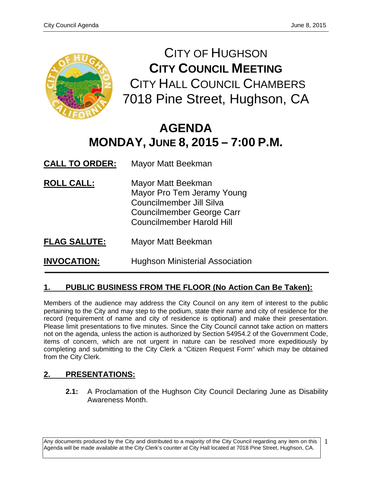

CITY OF HUGHSON **CITY COUNCIL MEETING** CITY HALL COUNCIL CHAMBERS 7018 Pine Street, Hughson, CA

# **AGENDA MONDAY, JUNE 8, 2015 – 7:00 P.M.**

**CALL TO ORDER:** Mayor Matt Beekman

- **ROLL CALL:** Mayor Matt Beekman Mayor Pro Tem Jeramy Young Councilmember Jill Silva Councilmember George Carr Councilmember Harold Hill
- **FLAG SALUTE:** Mayor Matt Beekman

**INVOCATION:** Hughson Ministerial Association

# **1. PUBLIC BUSINESS FROM THE FLOOR (No Action Can Be Taken):**

Members of the audience may address the City Council on any item of interest to the public pertaining to the City and may step to the podium, state their name and city of residence for the record (requirement of name and city of residence is optional) and make their presentation. Please limit presentations to five minutes. Since the City Council cannot take action on matters not on the agenda, unless the action is authorized by Section 54954.2 of the Government Code, items of concern, which are not urgent in nature can be resolved more expeditiously by completing and submitting to the City Clerk a "Citizen Request Form" which may be obtained from the City Clerk.

# **2. PRESENTATIONS:**

**2.1:** A Proclamation of the Hughson City Council Declaring June as Disability Awareness Month.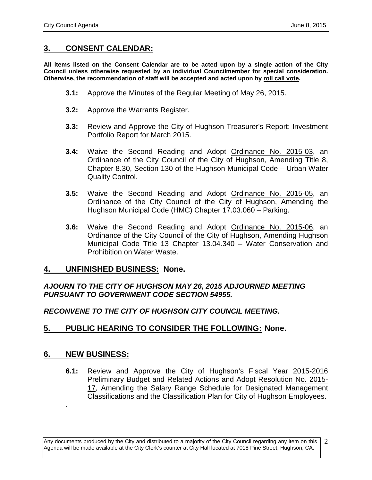## **3. CONSENT CALENDAR:**

**All items listed on the Consent Calendar are to be acted upon by a single action of the City Council unless otherwise requested by an individual Councilmember for special consideration. Otherwise, the recommendation of staff will be accepted and acted upon by roll call vote.**

- **3.1:** Approve the Minutes of the Regular Meeting of May 26, 2015.
- **3.2:** Approve the Warrants Register.
- **3.3:** Review and Approve the City of Hughson Treasurer's Report: Investment Portfolio Report for March 2015.
- **3.4:** Waive the Second Reading and Adopt Ordinance No. 2015-03, an Ordinance of the City Council of the City of Hughson, Amending Title 8, Chapter 8.30, Section 130 of the Hughson Municipal Code – Urban Water Quality Control.
- **3.5:** Waive the Second Reading and Adopt Ordinance No. 2015-05, an Ordinance of the City Council of the City of Hughson, Amending the Hughson Municipal Code (HMC) Chapter 17.03.060 – Parking.
- **3.6:** Waive the Second Reading and Adopt Ordinance No. 2015-06, an Ordinance of the City Council of the City of Hughson, Amending Hughson Municipal Code Title 13 Chapter 13.04.340 – Water Conservation and Prohibition on Water Waste.

## **4. UNFINISHED BUSINESS: None.**

## *AJOURN TO THE CITY OF HUGHSON MAY 26, 2015 ADJOURNED MEETING PURSUANT TO GOVERNMENT CODE SECTION 54955.*

## *RECONVENE TO THE CITY OF HUGHSON CITY COUNCIL MEETING.*

## **5. PUBLIC HEARING TO CONSIDER THE FOLLOWING: None.**

## **6. NEW BUSINESS:**

.

**6.1:** Review and Approve the City of Hughson's Fiscal Year 2015-2016 Preliminary Budget and Related Actions and Adopt Resolution No. 2015- 17, Amending the Salary Range Schedule for Designated Management Classifications and the Classification Plan for City of Hughson Employees.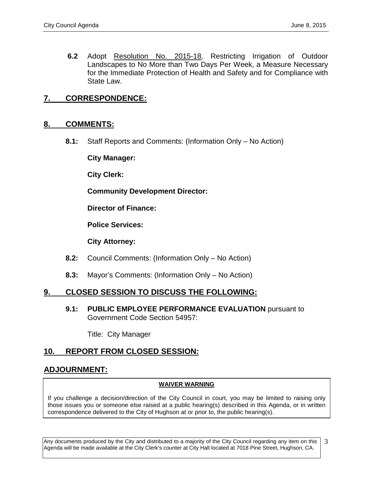**6.2** Adopt Resolution No. 2015-18, Restricting Irrigation of Outdoor Landscapes to No More than Two Days Per Week, a Measure Necessary for the Immediate Protection of Health and Safety and for Compliance with State Law.

## **7. CORRESPONDENCE:**

#### **8. COMMENTS:**

**8.1:** Staff Reports and Comments: (Information Only – No Action)

**City Manager:** 

**City Clerk:**

**Community Development Director:**

**Director of Finance:**

**Police Services:**

**City Attorney:**

- **8.2:** Council Comments: (Information Only No Action)
- **8.3:** Mayor's Comments: (Information Only No Action)

## **9. CLOSED SESSION TO DISCUSS THE FOLLOWING:**

**9.1: PUBLIC EMPLOYEE PERFORMANCE EVALUATION** pursuant to Government Code Section 54957:

Title: City Manager

## **10. REPORT FROM CLOSED SESSION:**

## **ADJOURNMENT:**

#### **WAIVER WARNING**

If you challenge a decision/direction of the City Council in court, you may be limited to raising only those issues you or someone else raised at a public hearing(s) described in this Agenda, or in written correspondence delivered to the City of Hughson at or prior to, the public hearing(s).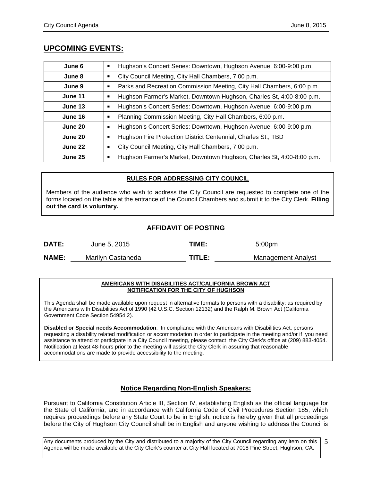## **UPCOMING EVENTS:**

| June 6  | Hughson's Concert Series: Downtown, Hughson Avenue, 6:00-9:00 p.m.          |
|---------|-----------------------------------------------------------------------------|
| June 8  | City Council Meeting, City Hall Chambers, 7:00 p.m.                         |
| June 9  | Parks and Recreation Commission Meeting, City Hall Chambers, 6:00 p.m.<br>Е |
| June 11 | Hughson Farmer's Market, Downtown Hughson, Charles St, 4:00-8:00 p.m.       |
| June 13 | Hughson's Concert Series: Downtown, Hughson Avenue, 6:00-9:00 p.m.          |
| June 16 | Planning Commission Meeting, City Hall Chambers, 6:00 p.m.                  |
| June 20 | Hughson's Concert Series: Downtown, Hughson Avenue, 6:00-9:00 p.m.          |
| June 20 | Hughson Fire Protection District Centennial, Charles St., TBD               |
| June 22 | City Council Meeting, City Hall Chambers, 7:00 p.m.<br>п                    |
| June 25 | Hughson Farmer's Market, Downtown Hughson, Charles St, 4:00-8:00 p.m.       |

#### **RULES FOR ADDRESSING CITY COUNCIL**

Members of the audience who wish to address the City Council are requested to complete one of the forms located on the table at the entrance of the Council Chambers and submit it to the City Clerk. **Filling out the card is voluntary.**

#### **AFFIDAVIT OF POSTING**

| <b>DATE:</b> | June 5, 2015      | TIME:  | 5:00 <sub>pm</sub> |
|--------------|-------------------|--------|--------------------|
| <b>NAME:</b> | Marilyn Castaneda | TITLE: | Management Analyst |

#### **AMERICANS WITH DISABILITIES ACT/CALIFORNIA BROWN ACT NOTIFICATION FOR THE CITY OF HUGHSON**

This Agenda shall be made available upon request in alternative formats to persons with a disability; as required by the Americans with Disabilities Act of 1990 (42 U.S.C. Section 12132) and the Ralph M. Brown Act (California Government Code Section 54954.2).

**Disabled or Special needs Accommodation**: In compliance with the Americans with Disabilities Act, persons requesting a disability related modification or accommodation in order to participate in the meeting and/or if you need assistance to attend or participate in a City Council meeting, please contact the City Clerk's office at (209) 883-4054. Notification at least 48-hours prior to the meeting will assist the City Clerk in assuring that reasonable accommodations are made to provide accessibility to the meeting.

## **Notice Regarding Non-English Speakers:**

Pursuant to California Constitution Article III, Section IV, establishing English as the official language for the State of California, and in accordance with California Code of Civil Procedures Section 185, which requires proceedings before any State Court to be in English, notice is hereby given that all proceedings before the City of Hughson City Council shall be in English and anyone wishing to address the Council is